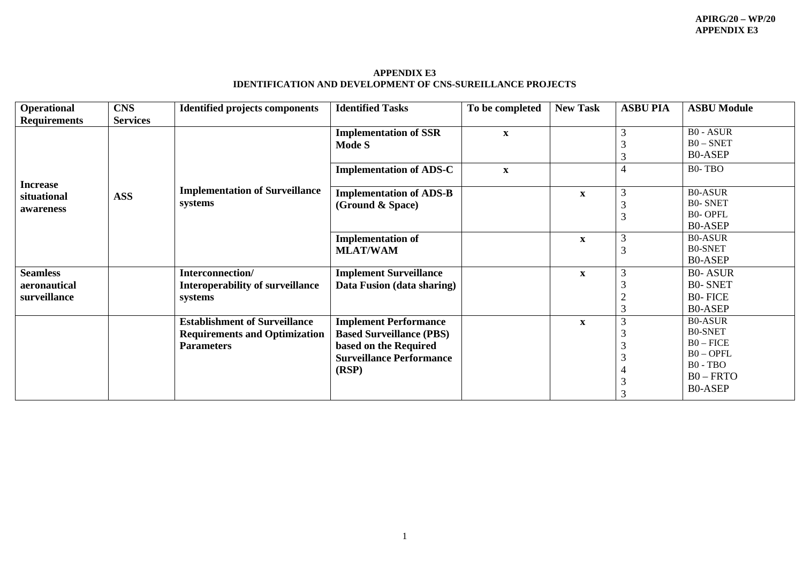**APPENDIX E3 IDENTIFICATION AND DEVELOPMENT OF CNS-SUREILLANCE PROJECTS**

| <b>Operational</b>  | <b>CNS</b>      | <b>Identified projects components</b>   | <b>Identified Tasks</b>         | To be completed | <b>New Task</b> | <b>ASBU PIA</b> | <b>ASBU Module</b>               |
|---------------------|-----------------|-----------------------------------------|---------------------------------|-----------------|-----------------|-----------------|----------------------------------|
| <b>Requirements</b> | <b>Services</b> |                                         |                                 |                 |                 |                 |                                  |
| <b>Increase</b>     |                 |                                         | <b>Implementation of SSR</b>    | $\mathbf X$     |                 | 3               | <b>B0 - ASUR</b>                 |
|                     |                 |                                         | <b>Mode S</b>                   |                 |                 |                 | $B0 - SNET$                      |
|                     |                 |                                         |                                 |                 |                 | 3               | <b>B0-ASEP</b>                   |
|                     |                 |                                         | <b>Implementation of ADS-C</b>  | $\mathbf{x}$    |                 | $\overline{4}$  | <b>B0-TBO</b>                    |
| situational         | <b>ASS</b>      | <b>Implementation of Surveillance</b>   | <b>Implementation of ADS-B</b>  |                 | $\mathbf X$     | 3               | <b>B0-ASUR</b>                   |
| awareness           |                 | systems                                 | (Ground & Space)                |                 |                 |                 | <b>B0-SNET</b>                   |
|                     |                 |                                         |                                 |                 |                 | 3               | <b>B0-OPFL</b>                   |
|                     |                 |                                         |                                 |                 |                 |                 | <b>B0-ASEP</b>                   |
|                     |                 |                                         | <b>Implementation of</b>        |                 | $\mathbf{x}$    | 3               | <b>B0-ASUR</b>                   |
|                     |                 |                                         | <b>MLAT/WAM</b>                 |                 |                 | 3               | <b>B0-SNET</b>                   |
|                     |                 |                                         |                                 |                 |                 |                 | <b>B0-ASEP</b>                   |
| <b>Seamless</b>     |                 | Interconnection/                        | <b>Implement Surveillance</b>   |                 | $\mathbf X$     | 3               | <b>B0-ASUR</b>                   |
| aeronautical        |                 | <b>Interoperability of surveillance</b> | Data Fusion (data sharing)      |                 |                 |                 | <b>B0-SNET</b>                   |
| surveillance        |                 | systems                                 |                                 |                 |                 | ⌒               | <b>B0-FICE</b>                   |
|                     |                 |                                         |                                 |                 |                 | 3               | <b>B0-ASEP</b>                   |
|                     |                 | <b>Establishment of Surveillance</b>    | <b>Implement Performance</b>    |                 | $\mathbf{x}$    | 3               | <b>B0-ASUR</b>                   |
|                     |                 | <b>Requirements and Optimization</b>    | <b>Based Surveillance (PBS)</b> |                 |                 |                 | <b>B0-SNET</b>                   |
|                     |                 | <b>Parameters</b>                       | based on the Required           |                 |                 |                 | $B0 - FICE$                      |
|                     |                 |                                         | <b>Surveillance Performance</b> |                 |                 |                 | $B0 - OPFL$                      |
|                     |                 |                                         | (RSP)                           |                 |                 |                 | B <sub>0</sub> - TB <sub>O</sub> |
|                     |                 |                                         |                                 |                 |                 |                 | $B0 - FRTO$                      |
|                     |                 |                                         |                                 |                 |                 |                 | <b>B0-ASEP</b>                   |